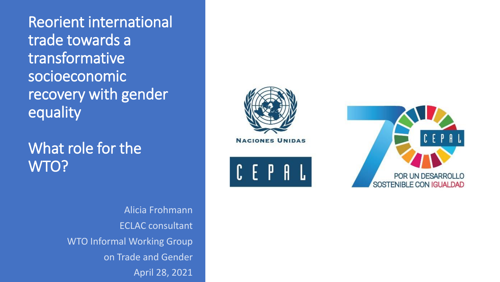Reorient international trade towards a transformative socioeconomic recovery with gender equality

What role for the WTO?

> Alicia Frohmann ECLAC consultant WTO Informal Working Group on Trade and Gender April 28, 2021



**NACIONES UNIDAS** 



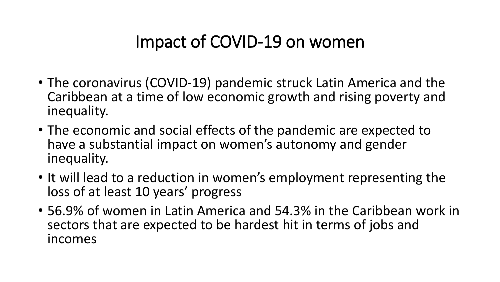## Impact of COVID-19 on women

- The coronavirus (COVID-19) pandemic struck Latin America and the Caribbean at a time of low economic growth and rising poverty and inequality.
- The economic and social effects of the pandemic are expected to have a substantial impact on women's autonomy and gender inequality.
- It will lead to a reduction in women's employment representing the loss of at least 10 years' progress
- 56.9% of women in Latin America and 54.3% in the Caribbean work in sectors that are expected to be hardest hit in terms of jobs and incomes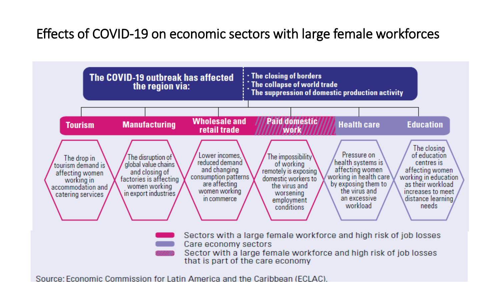### Effects of COVID-19 on economic sectors with large female workforces



Source: Economic Commission for Latin America and the Caribbean (ECLAC).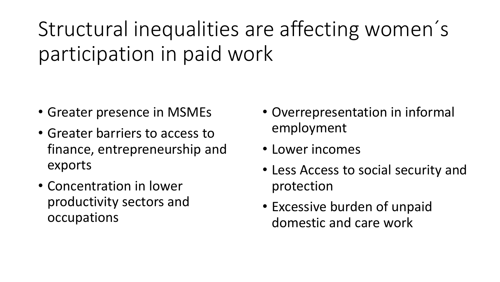Structural inequalities are affecting women ´ s participation in paid work

- Greater presence in MSMEs
- Greater barriers to access to finance, entrepreneurship and exports
- Concentration in lower productivity sectors and occupations
- Overrepresentation in informal employment
- Lower incomes
- Less Access to social security and protection
- Excessive burden of unpaid domestic and care work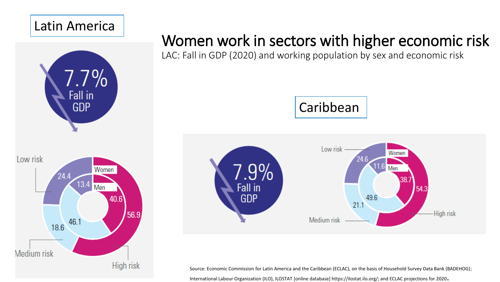#### Latin America



## Women work in sectors with higher economic risk

LAC: Fall in GDP (2020) and working population by sex and economic risk





Source: Economic Commission for Latin America and the Caribbean (ECLAC), on the basis of Household Survey Data Bank (BADEHOG); International Labour Organization (ILO), ILOSTAT [online database] https://ilostat.ilo.org/; and ECLAC projections for 2020.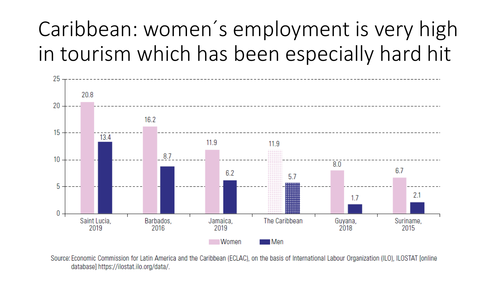Caribbean: women ´ s employment is very high in tourism which has been especially hard hit



Source: Economic Commission for Latin America and the Caribbean (ECLAC), on the basis of International Labour Organization (ILO), ILOSTAT [online database] https://ilostat.ilo.org/data/.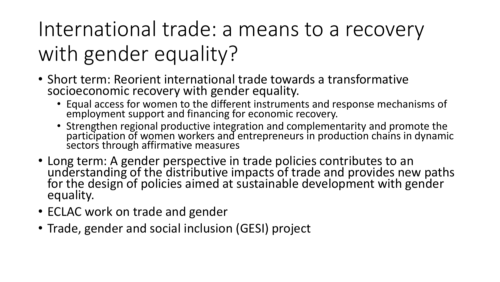International trade: a means to a recovery with gender equality?

- Short term: Reorient international trade towards a transformative socioeconomic recovery with gender equality.
	- Equal access for women to the different instruments and response mechanisms of employment support and financing for economic recovery.
	- Strengthen regional productive integration and complementarity and promote the participation of women workers and entrepreneurs in production chains in dynamic sectors through affirmative measures
- Long term: A gender perspective in trade policies contributes to an understanding of the distributive impacts of trade and provides new paths for the design of policies aimed at sustainable development with gender equality.
- ECLAC work on trade and gender
- Trade, gender and social inclusion (GESI) project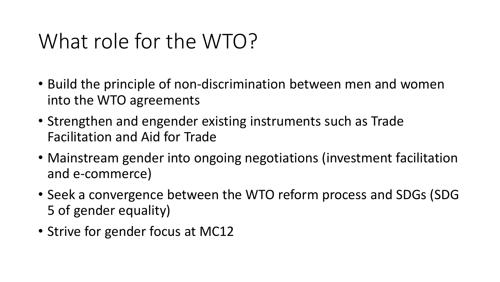# What role for the WTO?

- Build the principle of non-discrimination between men and women into the WTO agreements
- Strengthen and engender existing instruments such as Trade Facilitation and Aid for Trade
- Mainstream gender into ongoing negotiations (investment facilitation and e-commerce)
- Seek a convergence between the WTO reform process and SDGs (SDG 5 of gender equality)
- Strive for gender focus at MC12